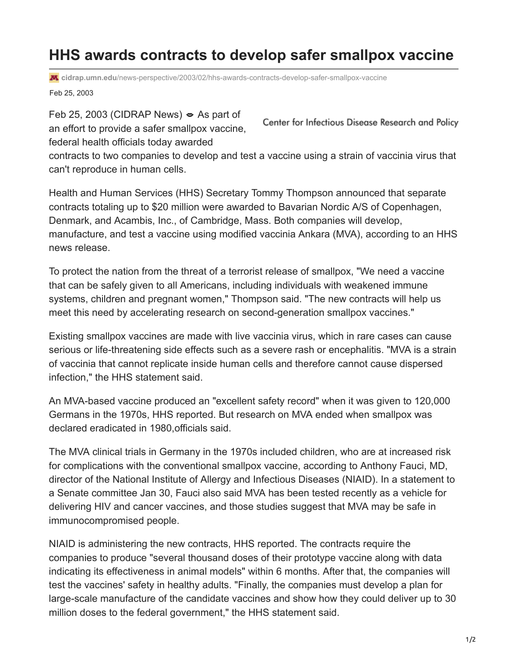## **HHS awards contracts to develop safer smallpox vaccine**

**cidrap.umn.edu**[/news-perspective/2003/02/hhs-awards-contracts-develop-safer-smallpox-vaccine](https://www.cidrap.umn.edu/news-perspective/2003/02/hhs-awards-contracts-develop-safer-smallpox-vaccine)

Feb 25, 2003

Feb 25, 2003 (CIDRAP News)  $\approx$  As part of an effort to provide a safer smallpox vaccine,

Center for Infectious Disease Research and Policy

federal health officials today awarded

contracts to two companies to develop and test a vaccine using a strain of vaccinia virus that can't reproduce in human cells.

Health and Human Services (HHS) Secretary Tommy Thompson announced that separate contracts totaling up to \$20 million were awarded to Bavarian Nordic A/S of Copenhagen, Denmark, and Acambis, Inc., of Cambridge, Mass. Both companies will develop, manufacture, and test a vaccine using modified vaccinia Ankara (MVA), according to an HHS news release.

To protect the nation from the threat of a terrorist release of smallpox, "We need a vaccine that can be safely given to all Americans, including individuals with weakened immune systems, children and pregnant women," Thompson said. "The new contracts will help us meet this need by accelerating research on second-generation smallpox vaccines."

Existing smallpox vaccines are made with live vaccinia virus, which in rare cases can cause serious or life-threatening side effects such as a severe rash or encephalitis. "MVA is a strain of vaccinia that cannot replicate inside human cells and therefore cannot cause dispersed infection," the HHS statement said.

An MVA-based vaccine produced an "excellent safety record" when it was given to 120,000 Germans in the 1970s, HHS reported. But research on MVA ended when smallpox was declared eradicated in 1980,officials said.

The MVA clinical trials in Germany in the 1970s included children, who are at increased risk for complications with the conventional smallpox vaccine, according to Anthony Fauci, MD, director of the National Institute of Allergy and Infectious Diseases (NIAID). In a statement to a Senate committee Jan 30, Fauci also said MVA has been tested recently as a vehicle for delivering HIV and cancer vaccines, and those studies suggest that MVA may be safe in immunocompromised people.

NIAID is administering the new contracts, HHS reported. The contracts require the companies to produce "several thousand doses of their prototype vaccine along with data indicating its effectiveness in animal models" within 6 months. After that, the companies will test the vaccines' safety in healthy adults. "Finally, the companies must develop a plan for large-scale manufacture of the candidate vaccines and show how they could deliver up to 30 million doses to the federal government," the HHS statement said.